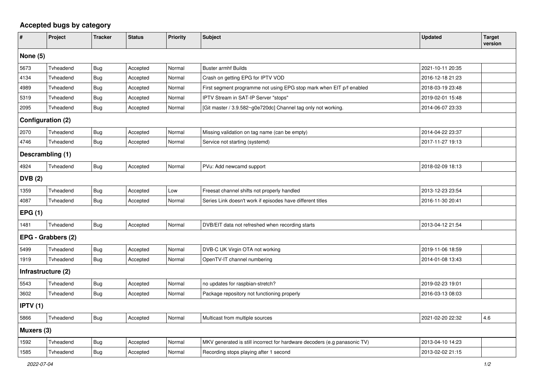## **Accepted bugs by category**

| #                        | Project   | <b>Tracker</b> | <b>Status</b> | <b>Priority</b> | <b>Subject</b>                                                            | <b>Updated</b>   | <b>Target</b><br>version |  |  |  |
|--------------------------|-----------|----------------|---------------|-----------------|---------------------------------------------------------------------------|------------------|--------------------------|--|--|--|
| None $(5)$               |           |                |               |                 |                                                                           |                  |                          |  |  |  |
| 5673                     | Tvheadend | <b>Bug</b>     | Accepted      | Normal          | <b>Buster armhf Builds</b>                                                | 2021-10-11 20:35 |                          |  |  |  |
| 4134                     | Tvheadend | <b>Bug</b>     | Accepted      | Normal          | Crash on getting EPG for IPTV VOD                                         | 2016-12-18 21:23 |                          |  |  |  |
| 4989                     | Tvheadend | <b>Bug</b>     | Accepted      | Normal          | First segment programme not using EPG stop mark when EIT p/f enabled      | 2018-03-19 23:48 |                          |  |  |  |
| 5319                     | Tvheadend | <b>Bug</b>     | Accepted      | Normal          | IPTV Stream in SAT-IP Server "stops"                                      | 2019-02-01 15:48 |                          |  |  |  |
| 2095                     | Tvheadend | <b>Bug</b>     | Accepted      | Normal          | [Git master / 3.9.582~g0e720dc] Channel tag only not working.             | 2014-06-07 23:33 |                          |  |  |  |
| <b>Configuration (2)</b> |           |                |               |                 |                                                                           |                  |                          |  |  |  |
| 2070                     | Tvheadend | Bug            | Accepted      | Normal          | Missing validation on tag name (can be empty)                             | 2014-04-22 23:37 |                          |  |  |  |
| 4746                     | Tvheadend | Bug            | Accepted      | Normal          | Service not starting (systemd)                                            | 2017-11-27 19:13 |                          |  |  |  |
| Descrambling (1)         |           |                |               |                 |                                                                           |                  |                          |  |  |  |
| 4924                     | Tvheadend | Bug            | Accepted      | Normal          | PVu: Add newcamd support                                                  | 2018-02-09 18:13 |                          |  |  |  |
| <b>DVB</b> (2)           |           |                |               |                 |                                                                           |                  |                          |  |  |  |
| 1359                     | Tvheadend | Bug            | Accepted      | Low             | Freesat channel shifts not properly handled                               | 2013-12-23 23:54 |                          |  |  |  |
| 4087                     | Tyheadend | <b>Bug</b>     | Accepted      | Normal          | Series Link doesn't work if episodes have different titles                | 2016-11-30 20:41 |                          |  |  |  |
| EPG(1)                   |           |                |               |                 |                                                                           |                  |                          |  |  |  |
| 1481                     | Tvheadend | <b>Bug</b>     | Accepted      | Normal          | DVB/EIT data not refreshed when recording starts                          | 2013-04-12 21:54 |                          |  |  |  |
| EPG - Grabbers (2)       |           |                |               |                 |                                                                           |                  |                          |  |  |  |
| 5499                     | Tvheadend | Bug            | Accepted      | Normal          | DVB-C UK Virgin OTA not working                                           | 2019-11-06 18:59 |                          |  |  |  |
| 1919                     | Tvheadend | Bug            | Accepted      | Normal          | OpenTV-IT channel numbering                                               | 2014-01-08 13:43 |                          |  |  |  |
| Infrastructure (2)       |           |                |               |                 |                                                                           |                  |                          |  |  |  |
| 5543                     | Tvheadend | <b>Bug</b>     | Accepted      | Normal          | no updates for raspbian-stretch?                                          | 2019-02-23 19:01 |                          |  |  |  |
| 3602                     | Tvheadend | Bug            | Accepted      | Normal          | Package repository not functioning properly                               | 2016-03-13 08:03 |                          |  |  |  |
| IPTV(1)                  |           |                |               |                 |                                                                           |                  |                          |  |  |  |
| 5866                     | Tvheadend | <b>Bug</b>     | Accepted      | Normal          | Multicast from multiple sources                                           | 2021-02-20 22:32 | 4.6                      |  |  |  |
| Muxers (3)               |           |                |               |                 |                                                                           |                  |                          |  |  |  |
| 1592                     | Tvheadend | <b>Bug</b>     | Accepted      | Normal          | MKV generated is still incorrect for hardware decoders (e.g panasonic TV) | 2013-04-10 14:23 |                          |  |  |  |
| 1585                     | Tvheadend | <b>Bug</b>     | Accepted      | Normal          | Recording stops playing after 1 second                                    | 2013-02-02 21:15 |                          |  |  |  |